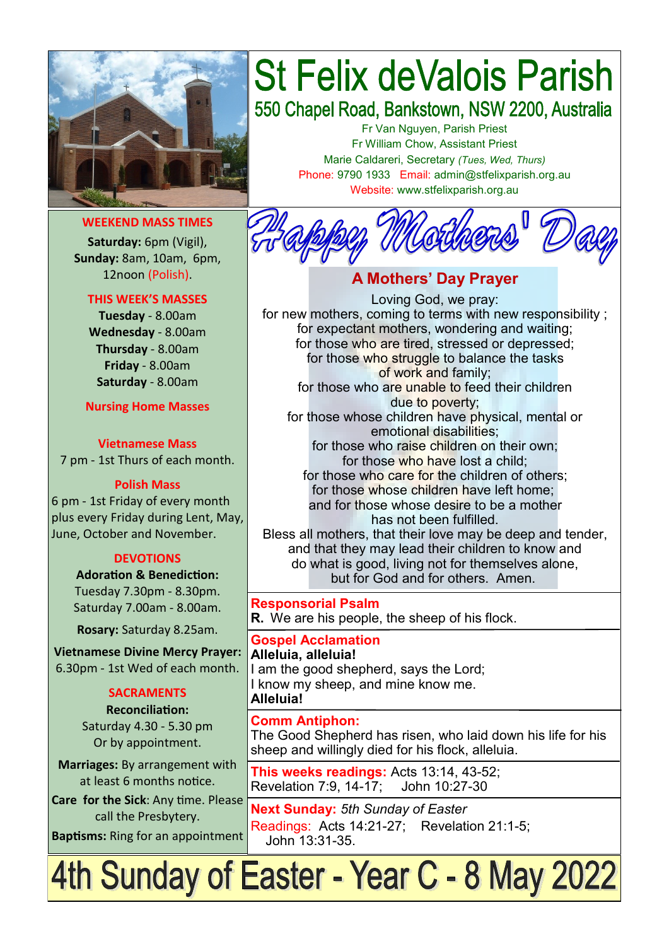

#### **WEEKEND MASS TIMES**

**Saturday:** 6pm (Vigil), **Sunday:** 8am, 10am, 6pm, 12noon (Polish).

#### **THIS WEEK'S MASSES**

**Tuesday** - 8.00am **Wednesday** - 8.00am **Thursday** - 8.00am **Friday** - 8.00am **Saturday** - 8.00am

**Nursing Home Masses**

**Vietnamese Mass** 7 pm - 1st Thurs of each month.

#### **Polish Mass**

6 pm - 1st Friday of every month plus every Friday during Lent, May, June, October and November.

#### **DEVOTIONS**

**Adoration & Benediction:**  Tuesday 7.30pm - 8.30pm. Saturday 7.00am - 8.00am.

**Rosary:** Saturday 8.25am.

**Vietnamese Divine Mercy Prayer:** 6.30pm - 1st Wed of each month.

#### **SACRAMENTS**

**Reconciliation:**  Saturday 4.30 - 5.30 pm Or by appointment.

**Marriages:** By arrangement with at least 6 months notice.

**Care for the Sick**: Any time. Please call the Presbytery. **Baptisms:** Ring for an appointment

# **St Felix deValois Parish**

550 Chapel Road, Bankstown, NSW 2200, Australia

Fr Van Nguyen, Parish Priest Fr William Chow, Assistant Priest Marie Caldareri, Secretary *(Tues, Wed, Thurs)* Phone: 9790 1933 Email: admin@stfelixparish.org.au Website: www.stfelixparish.org.au



#### **A Mothers' Day Prayer** Loving God, we pray: for new mothers, coming to terms with new responsibility ; for expectant mothers, wondering and waiting; for those who are tired, stressed or depressed; for those who struggle to balance the tasks of work and family; for those who are unable to feed their children due to poverty; for those whose children have physical, mental or emotional disabilities; for those who raise children on their own; for those who have lost a child; for those who care for the children of others; for those whose children have left home; and for those whose desire to be a mother has not been fulfilled. Bless all mothers, that their love may be deep and tender, and that they may lead their children to know and do what is good, living not for themselves alone, but for God and for others. Amen.

**Responsorial Psalm R.** We are his people, the sheep of his flock.

**Gospel Acclamation Alleluia, alleluia!** I am the good shepherd, says the Lord; I know my sheep, and mine know me. **Alleluia!**

**Comm Antiphon:**  The Good Shepherd has risen, who laid down his life for his sheep and willingly died for his flock, alleluia.

**This weeks readings:** Acts 13:14, 43-52; Revelation 7:9, 14-17; John 10:27-30

**Next Sunday:** *5th Sunday of Easter*  Readings: Acts 14:21-27; Revelation 21:1-5; John 13:31-35.

## 4th Sunday of Easter - Year C - 8 May 2022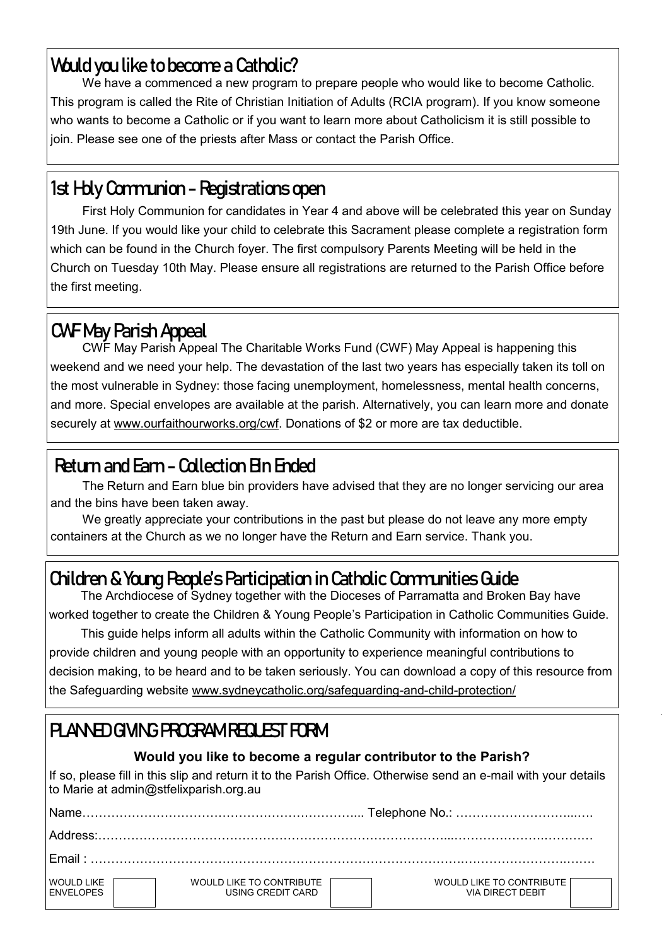## **Would you like to become a Catholic?**

We have a commenced a new program to prepare people who would like to become Catholic. This program is called the Rite of Christian Initiation of Adults (RCIA program). If you know someone who wants to become a Catholic or if you want to learn more about Catholicism it is still possible to join. Please see one of the priests after Mass or contact the Parish Office.

## **1st Holy Communion - Registrations open**

First Holy Communion for candidates in Year 4 and above will be celebrated this year on Sunday 19th June. If you would like your child to celebrate this Sacrament please complete a registration form which can be found in the Church foyer. The first compulsory Parents Meeting will be held in the Church on Tuesday 10th May. Please ensure all registrations are returned to the Parish Office before the first meeting.

## **CWF May Parish Appeal**

CWF May Parish Appeal The Charitable Works Fund (CWF) May Appeal is happening this weekend and we need your help. The devastation of the last two years has especially taken its toll on the most vulnerable in Sydney: those facing unemployment, homelessness, mental health concerns, and more. Special envelopes are available at the parish. Alternatively, you can learn more and donate securely at www.ourfaithourworks.org/cwf. Donations of \$2 or more are tax deductible.

## **Return and Earn - Collection Bin Ended**

The Return and Earn blue bin providers have advised that they are no longer servicing our area and the bins have been taken away.

We greatly appreciate your contributions in the past but please do not leave any more empty containers at the Church as we no longer have the Return and Earn service. Thank you.

## **Children & Young People's Participation in Catholic Communities Guide**

The Archdiocese of Sydney together with the Dioceses of Parramatta and Broken Bay have worked together to create the Children & Young People's Participation in Catholic Communities Guide.

This guide helps inform all adults within the Catholic Community with information on how to provide children and young people with an opportunity to experience meaningful contributions to decision making, to be heard and to be taken seriously. You can download a copy of this resource from the Safeguarding website www.sydneycatholic.org/safeguarding-and-child-protection/

## **PLANNED GIVING PROGRAM REQUEST FORM**

#### **Would you like to become a regular contributor to the Parish?**

If so, please fill in this slip and return it to the Parish Office. Otherwise send an e-mail with your details to Marie at admin@stfelixparish.org.au

| Name                                  |                                               |                                                     |  |  |  |
|---------------------------------------|-----------------------------------------------|-----------------------------------------------------|--|--|--|
|                                       |                                               |                                                     |  |  |  |
| $F$ mail $\cdot$                      |                                               |                                                     |  |  |  |
| <b>WOULD LIKE</b><br><b>ENVELOPES</b> | WOULD LIKE TO CONTRIBUTE<br>USING CREDIT CARD | WOULD LIKE TO CONTRIBUTE<br><b>VIA DIRECT DEBIT</b> |  |  |  |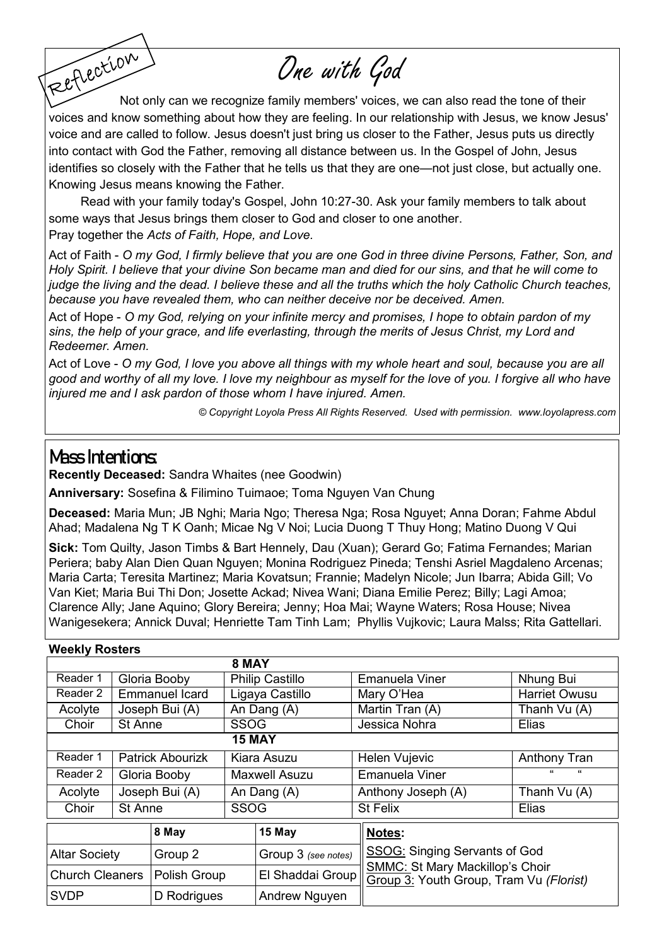One with God

Reflection Not only can we recognize family members' voices, we can also read the tone of their voices and know something about how they are feeling. In our relationship with Jesus, we know Jesus' voice and are called to follow. Jesus doesn't just bring us closer to the Father, Jesus puts us directly into contact with God the Father, removing all distance between us. In the Gospel of John, Jesus identifies so closely with the Father that he tells us that they are one—not just close, but actually one. Knowing Jesus means knowing the Father.

Read with your family today's Gospel, John 10:27-30. Ask your family members to talk about some ways that Jesus brings them closer to God and closer to one another. Pray together the *[Acts of Faith,](https://www.loyolapress.com/catholic-resources/prayer/traditional-catholic-prayers/prayers-every-catholic-should-know/act-of-faith) [Hope,](https://www.loyolapress.com/catholic-resources/prayer/traditional-catholic-prayers/prayers-every-catholic-should-know/act-of-hope) and [Love.](https://www.loyolapress.com/catholic-resources/prayer/traditional-catholic-prayers/prayers-every-catholic-should-know/act-of-love)*

Act of Faith - *O my God, I firmly believe that you are one God in three divine Persons, Father, Son, and Holy Spirit. I believe that your divine Son became man and died for our sins, and that he will come to judge the living and the dead. I believe these and all the truths which the holy Catholic Church teaches, because you have revealed them, who can neither deceive nor be deceived. Amen.* 

Act of Hope - *O my God, relying on your infinite mercy and promises, I hope to obtain pardon of my sins, the help of your grace, and life everlasting, through the merits of Jesus Christ, my Lord and Redeemer. Amen.* 

Act of Love - *O my God, I love you above all things with my whole heart and soul, because you are all good and worthy of all my love. I love my neighbour as myself for the love of you. I forgive all who have injured me and I ask pardon of those whom I have injured. Amen.* 

*© Copyright Loyola Press All Rights Reserved. Used with permission. [www.loyolapress.com](http://www.loyolapress.com)*

#### **Mass Intentions:**

**Recently Deceased:** Sandra Whaites (nee Goodwin)

**Anniversary:** Sosefina & Filimino Tuimaoe; Toma Nguyen Van Chung

**Deceased:** Maria Mun; JB Nghi; Maria Ngo; Theresa Nga; Rosa Nguyet; Anna Doran; Fahme Abdul Ahad; Madalena Ng T K Oanh; Micae Ng V Noi; Lucia Duong T Thuy Hong; Matino Duong V Qui

**Sick:** Tom Quilty, Jason Timbs & Bart Hennely, Dau (Xuan); Gerard Go; Fatima Fernandes; Marian Periera; baby Alan Dien Quan Nguyen; Monina Rodriguez Pineda; Tenshi Asriel Magdaleno Arcenas; Maria Carta; Teresita Martinez; Maria Kovatsun; Frannie; Madelyn Nicole; Jun Ibarra; Abida Gill; Vo Van Kiet; Maria Bui Thi Don; Josette Ackad; Nivea Wani; Diana Emilie Perez; Billy; Lagi Amoa; Clarence Ally; Jane Aquino; Glory Bereira; Jenny; Hoa Mai; Wayne Waters; Rosa House; Nivea Wanigesekera; Annick Duval; Henriette Tam Tinh Lam; Phyllis Vujkovic; Laura Malss; Rita Gattellari.

| <b>Weekly Rosters</b>  |                |                         |                        |                      |  |                                                                                                                    |               |  |  |  |  |
|------------------------|----------------|-------------------------|------------------------|----------------------|--|--------------------------------------------------------------------------------------------------------------------|---------------|--|--|--|--|
| 8 MAY                  |                |                         |                        |                      |  |                                                                                                                    |               |  |  |  |  |
| Reader 1               |                | Gloria Booby            | <b>Philip Castillo</b> |                      |  | Emanuela Viner                                                                                                     | Nhung Bui     |  |  |  |  |
| Reader 2               |                | <b>Emmanuel Icard</b>   | Ligaya Castillo        |                      |  | Mary O'Hea                                                                                                         | Harriet Owusu |  |  |  |  |
| Acolyte                |                | Joseph Bui (A)          | An Dang (A)            |                      |  | Martin Tran (A)                                                                                                    | Thanh Vu (A)  |  |  |  |  |
| Choir                  | <b>St Anne</b> |                         | <b>SSOG</b>            |                      |  | Jessica Nohra                                                                                                      | Elias         |  |  |  |  |
| <b>15 MAY</b>          |                |                         |                        |                      |  |                                                                                                                    |               |  |  |  |  |
| Reader 1               |                | <b>Patrick Abourizk</b> | Kiara Asuzu            |                      |  | Helen Vujevic                                                                                                      | Anthony Tran  |  |  |  |  |
| Reader 2               |                | Gloria Booby            |                        | <b>Maxwell Asuzu</b> |  | <b>Emanuela Viner</b>                                                                                              | $\epsilon$    |  |  |  |  |
| Acolyte                |                | Joseph Bui (A)          |                        | An Dang (A)          |  | Anthony Joseph (A)                                                                                                 | Thanh Vu (A)  |  |  |  |  |
| Choir                  | St Anne        |                         | <b>SSOG</b>            |                      |  | <b>St Felix</b>                                                                                                    | Elias         |  |  |  |  |
|                        |                | 8 May                   |                        | 15 May               |  | Notes:                                                                                                             |               |  |  |  |  |
| <b>Altar Society</b>   |                | Group 2                 |                        | Group 3 (see notes)  |  | SSOG: Singing Servants of God<br><b>SMMC: St Mary Mackillop's Choir</b><br>Group 3: Youth Group, Tram Vu (Florist) |               |  |  |  |  |
| <b>Church Cleaners</b> |                | Polish Group            |                        | El Shaddai Group     |  |                                                                                                                    |               |  |  |  |  |
| <b>SVDP</b>            |                | D Rodrigues             |                        | Andrew Nguyen        |  |                                                                                                                    |               |  |  |  |  |